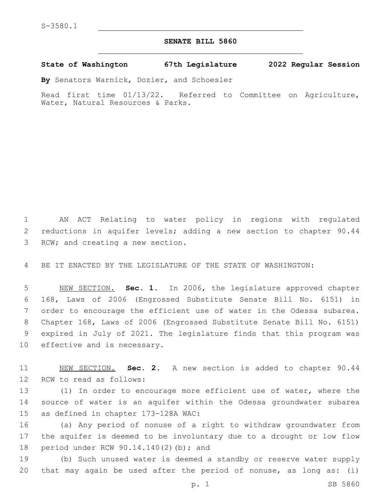## **SENATE BILL 5860**

**State of Washington 67th Legislature 2022 Regular Session**

**By** Senators Warnick, Dozier, and Schoesler

Read first time 01/13/22. Referred to Committee on Agriculture, Water, Natural Resources & Parks.

1 AN ACT Relating to water policy in regions with regulated 2 reductions in aquifer levels; adding a new section to chapter 90.44 3 RCW; and creating a new section.

4 BE IT ENACTED BY THE LEGISLATURE OF THE STATE OF WASHINGTON:

 NEW SECTION. **Sec. 1.** In 2006, the legislature approved chapter 168, Laws of 2006 (Engrossed Substitute Senate Bill No. 6151) in order to encourage the efficient use of water in the Odessa subarea. Chapter 168, Laws of 2006 (Engrossed Substitute Senate Bill No. 6151) expired in July of 2021. The legislature finds that this program was effective and is necessary.

11 NEW SECTION. **Sec. 2.** A new section is added to chapter 90.44 12 RCW to read as follows:

13 (1) In order to encourage more efficient use of water, where the 14 source of water is an aquifer within the Odessa groundwater subarea 15 as defined in chapter 173-128A WAC:

16 (a) Any period of nonuse of a right to withdraw groundwater from 17 the aquifer is deemed to be involuntary due to a drought or low flow 18 period under RCW 90.14.140(2)(b); and

19 (b) Such unused water is deemed a standby or reserve water supply 20 that may again be used after the period of nonuse, as long as: (i)

p. 1 SB 5860